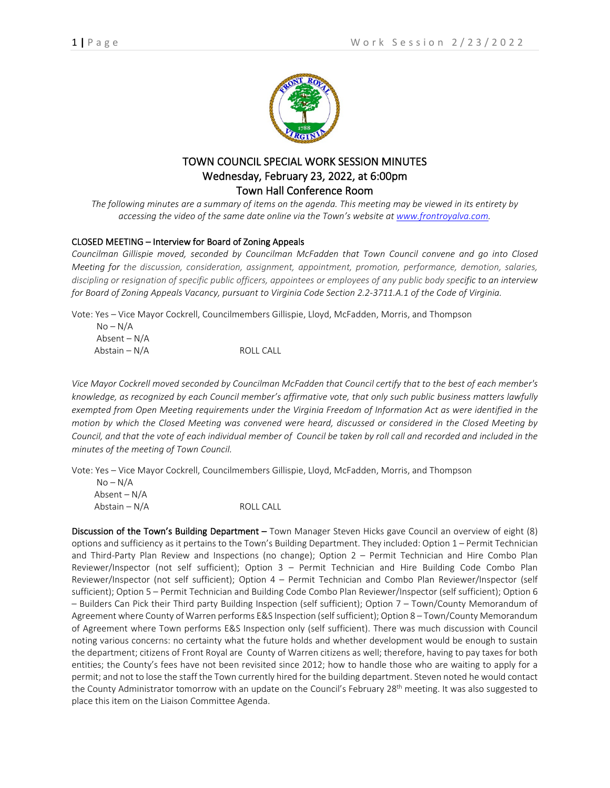

## TOWN COUNCIL SPECIAL WORK SESSION MINUTES Wednesday, February 23, 2022, at 6:00pm Town Hall Conference Room

*The following minutes are a summary of items on the agenda. This meeting may be viewed in its entirety by accessing the video of the same date online via the Town's website at [www.frontroyalva.com.](http://www.frontroyalva.com/)* 

## CLOSED MEETING – Interview for Board of Zoning Appeals

*Councilman Gillispie moved, seconded by Councilman McFadden that Town Council convene and go into Closed Meeting for the discussion, consideration, assignment, appointment, promotion, performance, demotion, salaries, discipling or resignation of specific public officers, appointees or employees of any public body specific to an interview for Board of Zoning Appeals Vacancy, pursuant to Virginia Code Section 2.2-3711.A.1 of the Code of Virginia.*

Vote: Yes – Vice Mayor Cockrell, Councilmembers Gillispie, Lloyd, McFadden, Morris, and Thompson

| $No-N/A$      |           |
|---------------|-----------|
| Absent – N/A  |           |
| Abstain – N/A | ROLL CALL |

*Vice Mayor Cockrell moved seconded by Councilman McFadden that Council certify that to the best of each member's knowledge, as recognized by each Council member's affirmative vote, that only such public business matters lawfully exempted from Open Meeting requirements under the Virginia Freedom of Information Act as were identified in the motion by which the Closed Meeting was convened were heard, discussed or considered in the Closed Meeting by Council, and that the vote of each individual member of Council be taken by roll call and recorded and included in the minutes of the meeting of Town Council.* 

Vote: Yes – Vice Mayor Cockrell, Councilmembers Gillispie, Lloyd, McFadden, Morris, and Thompson

| $No-N/A$       |           |
|----------------|-----------|
| Absent – $N/A$ |           |
| Abstain – N/A  | ROLL CALL |

Discussion of the Town's Building Department – Town Manager Steven Hicks gave Council an overview of eight (8) options and sufficiency as it pertains to the Town's Building Department. They included: Option 1 – Permit Technician and Third-Party Plan Review and Inspections (no change); Option 2 – Permit Technician and Hire Combo Plan Reviewer/Inspector (not self sufficient); Option 3 – Permit Technician and Hire Building Code Combo Plan Reviewer/Inspector (not self sufficient); Option 4 – Permit Technician and Combo Plan Reviewer/Inspector (self sufficient); Option 5 – Permit Technician and Building Code Combo Plan Reviewer/Inspector (self sufficient); Option 6 – Builders Can Pick their Third party Building Inspection (self sufficient); Option 7 – Town/County Memorandum of Agreement where County of Warren performs E&S Inspection (self sufficient); Option 8 – Town/County Memorandum of Agreement where Town performs E&S Inspection only (self sufficient). There was much discussion with Council noting various concerns: no certainty what the future holds and whether development would be enough to sustain the department; citizens of Front Royal are County of Warren citizens as well; therefore, having to pay taxes for both entities; the County's fees have not been revisited since 2012; how to handle those who are waiting to apply for a permit; and not to lose the staff the Town currently hired for the building department. Steven noted he would contact the County Administrator tomorrow with an update on the Council's February 28<sup>th</sup> meeting. It was also suggested to place this item on the Liaison Committee Agenda.